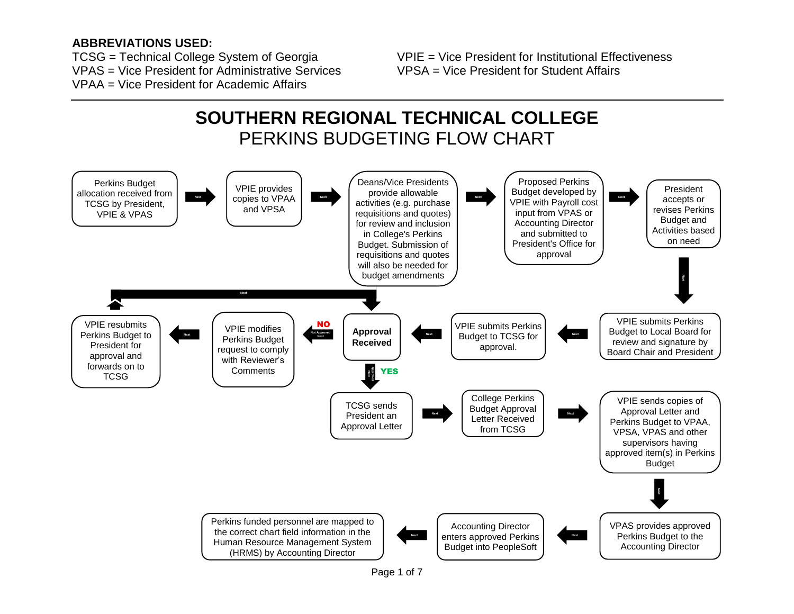#### **ABBREVIATIONS USED:**

VPAS = Vice President for Administrative Services VPSA = Vice President for Student Affairs VPAA = Vice President for Academic Affairs.

TCSG = Technical College System of Georgia VPIE = Vice President for Institutional Effectiveness

# **SOUTHERN REGIONAL TECHNICAL COLLEGE**  PERKINS BUDGETING FLOW CHART

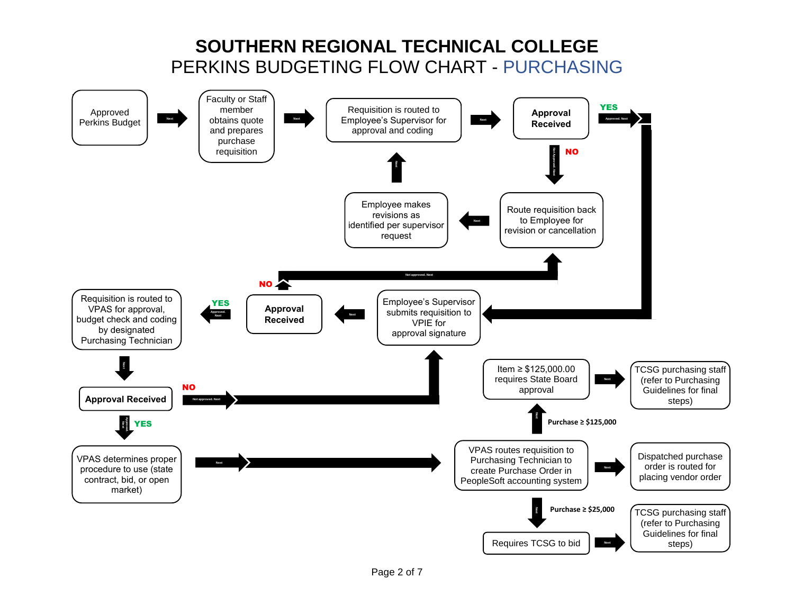# **SOUTHERN REGIONAL TECHNICAL COLLEGE** PERKINS BUDGETING FLOW CHART - PURCHASING

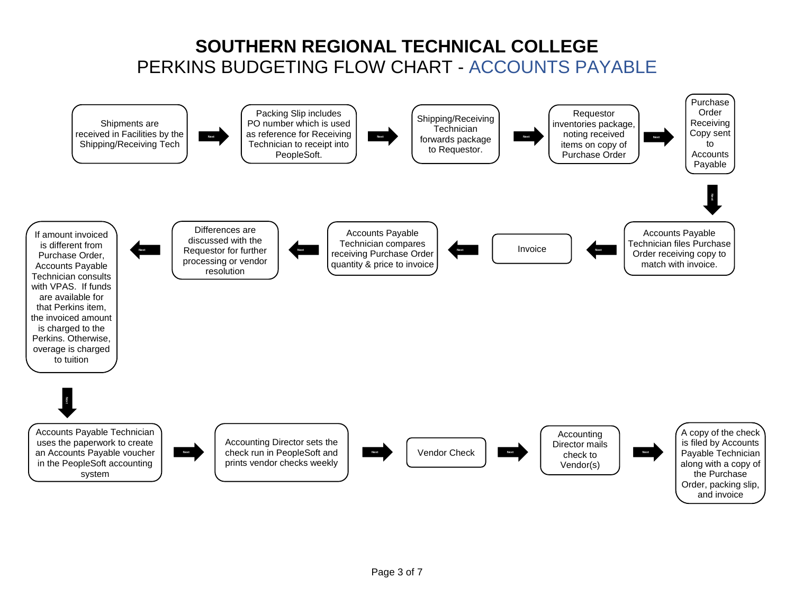# **SOUTHERN REGIONAL TECHNICAL COLLEGE** PERKINS BUDGETING FLOW CHART - ACCOUNTS PAYABLE

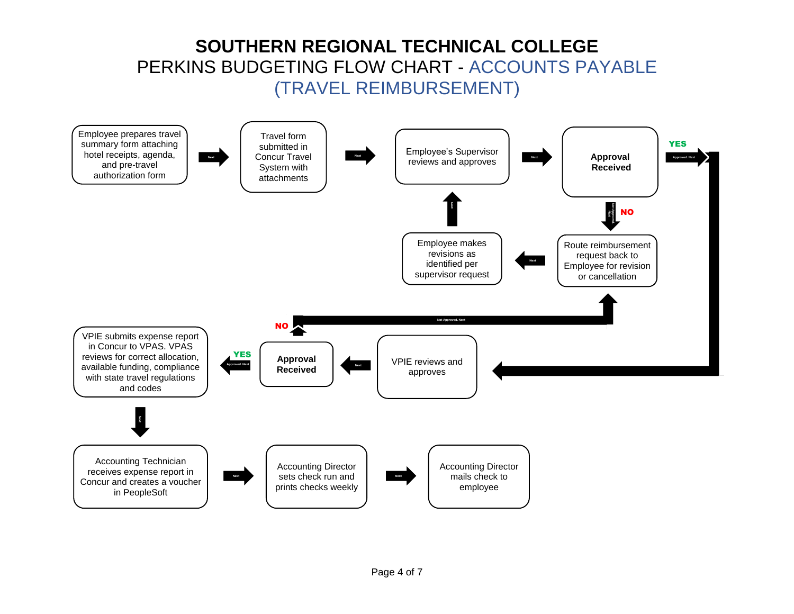# **SOUTHERN REGIONAL TECHNICAL COLLEGE** PERKINS BUDGETING FLOW CHART - ACCOUNTS PAYABLE (TRAVEL REIMBURSEMENT)

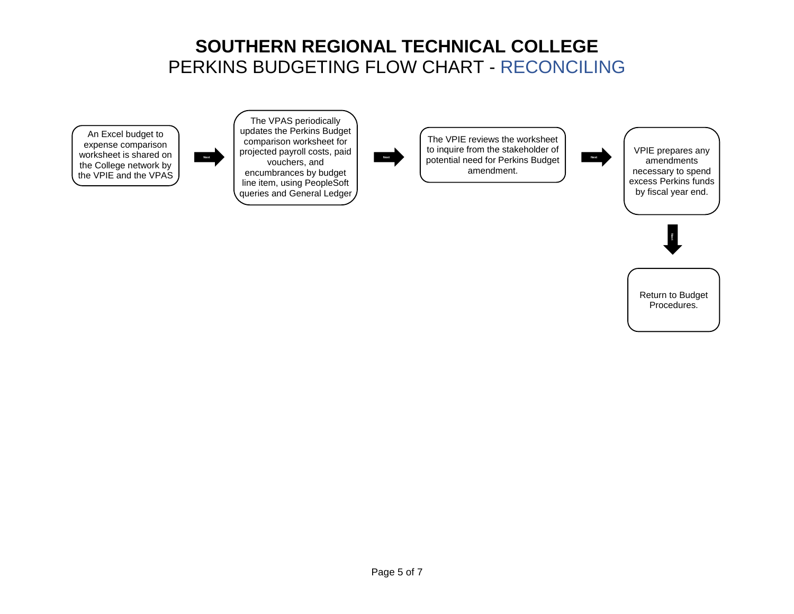### **SOUTHERN REGIONAL TECHNICAL COLLEGE** PERKINS BUDGETING FLOW CHART - RECONCILING

An Excel budget to expense comparison worksheet is shared on the College network by the VPIE and the VPAS



**Next Next Next Next Next Next Next Next Next Next Next Next Next Next Next Next Next Next Next Next Next Next Next Next Next Next Next Next Next Next Next Next** The VPAS periodically updates the Perkins Budget comparison worksheet for projected payroll costs, paid encumbrances by budget line item, using PeopleSoft queries and General Ledger



The VPIE reviews the worksheet to inquire from the stakeholder of potential need for Perkins Budget amendment.



VPIE prepares any amendments necessary to spend excess Perkins funds by fiscal year end.



Return to Budget Procedures.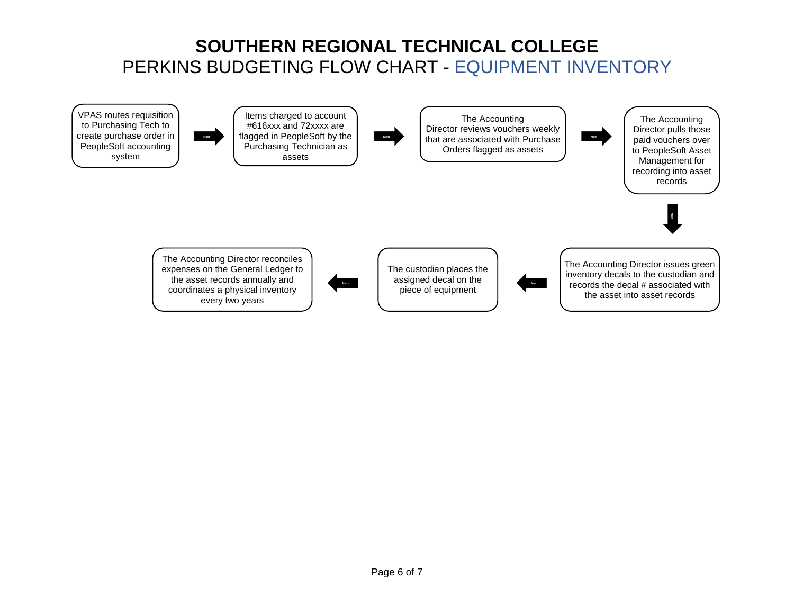# **SOUTHERN REGIONAL TECHNICAL COLLEGE** PERKINS BUDGETING FLOW CHART - EQUIPMENT INVENTORY